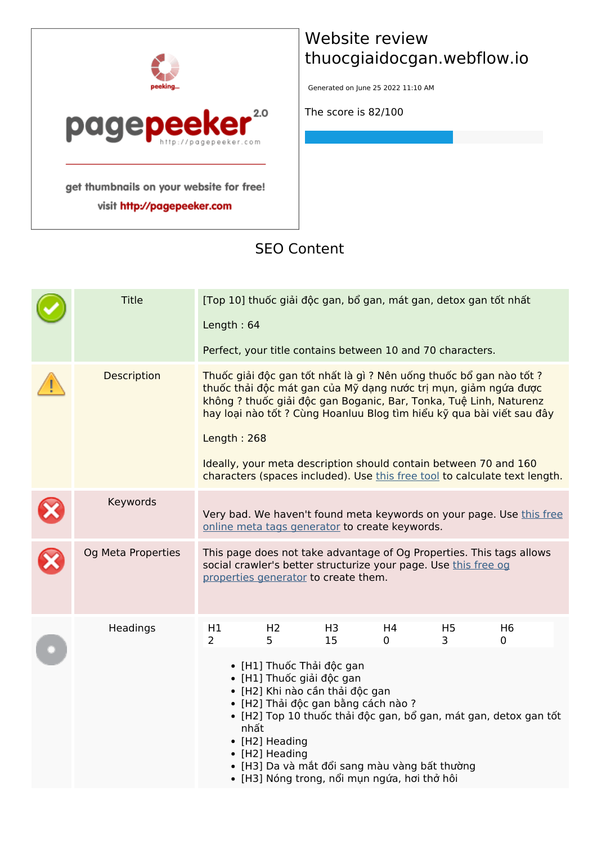

visit http://pagepeeker.com

### **Website review thuocgiaidocgan.webflow.io**

Generated on June 25 2022 11:10 AM

**The score is 82/100**

#### **SEO Content**

| <b>Title</b>       | Length: 64           |                                                                                                                                                                                                                                                                                                      |                      |         | [Top 10] thuốc giải độc gan, bổ gan, mát gan, detox gan tốt nhất<br>Perfect, your title contains between 10 and 70 characters.                                                                             |                                                                                                                                                                                                                           |  |
|--------------------|----------------------|------------------------------------------------------------------------------------------------------------------------------------------------------------------------------------------------------------------------------------------------------------------------------------------------------|----------------------|---------|------------------------------------------------------------------------------------------------------------------------------------------------------------------------------------------------------------|---------------------------------------------------------------------------------------------------------------------------------------------------------------------------------------------------------------------------|--|
| Description        | Length: $268$        |                                                                                                                                                                                                                                                                                                      |                      |         | Thuốc giải độc gan tốt nhất là gì ? Nên uống thuốc bổ gan nào tốt ?<br>thuốc thải độc mát gan của Mỹ dạng nước trị mụn, giảm ngứa được<br>Ideally, your meta description should contain between 70 and 160 | không ? thuốc giải độc gan Boganic, Bar, Tonka, Tuệ Linh, Naturenz<br>hay loại nào tốt ? Cùng Hoanluu Blog tìm hiểu kỹ qua bài viết sau đây<br>characters (spaces included). Use this free tool to calculate text length. |  |
| Keywords           |                      | online meta tags generator to create keywords.                                                                                                                                                                                                                                                       |                      |         |                                                                                                                                                                                                            | Very bad. We haven't found meta keywords on your page. Use this free                                                                                                                                                      |  |
| Og Meta Properties |                      | properties generator to create them.                                                                                                                                                                                                                                                                 |                      |         | social crawler's better structurize your page. Use this free og                                                                                                                                            | This page does not take advantage of Og Properties. This tags allows                                                                                                                                                      |  |
| Headings           | H1<br>$\overline{2}$ | H <sub>2</sub><br>5<br>• [H1] Thuốc Thải độc gan<br>· [H1] Thuốc giải độc gan<br>• [H2] Khi nào cần thải độc gan<br>• [H2] Thải độc gan bằng cách nào ?<br>nhất<br>• [H2] Heading<br>• [H2] Heading<br>• [H3] Da và mắt đổi sang màu vàng bất thường<br>• [H3] Nóng trong, nổi mụn ngứa, hơi thở hôi | H <sub>3</sub><br>15 | H4<br>0 | H <sub>5</sub><br>3.                                                                                                                                                                                       | H <sub>6</sub><br>0<br>• [H2] Top 10 thuốc thải độc gan, bổ gan, mát gan, detox gan tốt                                                                                                                                   |  |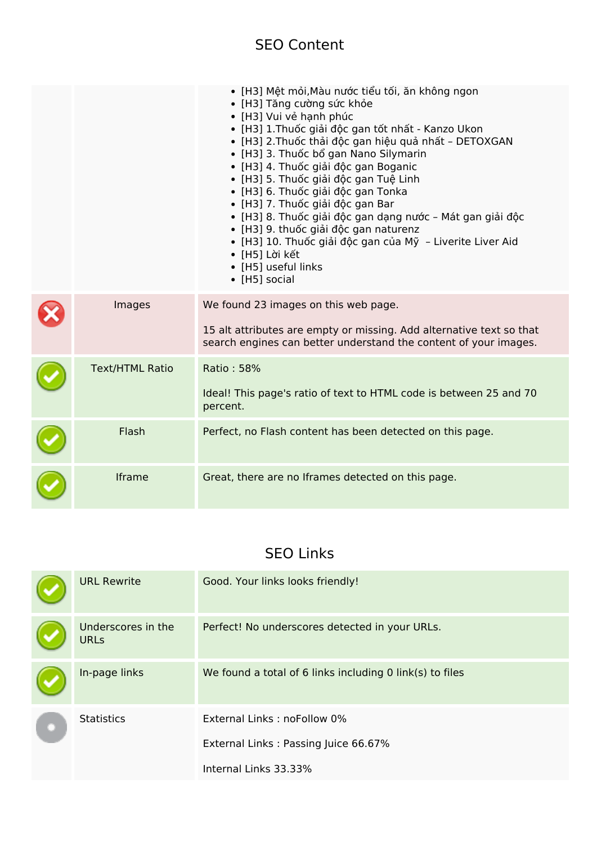### **SEO Content**

|                        | • [H3] Mệt mỏi, Màu nước tiểu tối, ăn không ngon<br>• [H3] Tăng cường sức khỏe<br>• [H3] Vui vẻ hạnh phúc<br>• [H3] 1. Thuốc giải độc gan tốt nhất - Kanzo Ukon<br>• [H3] 2.Thuốc thải độc gan hiệu quả nhất - DETOXGAN<br>• [H3] 3. Thuốc bổ gan Nano Silymarin<br>· [H3] 4. Thuốc giải độc gan Boganic<br>• [H3] 5. Thuốc giải độc gan Tuệ Linh<br>· [H3] 6. Thuốc giải độc gan Tonka<br>• [H3] 7. Thuốc giải độc gan Bar<br>· [H3] 8. Thuốc giải độc gan dạng nước - Mát gan giải độc<br>· [H3] 9. thuốc giải độc gan naturenz<br>· [H3] 10. Thuốc giải độc gan của Mỹ - Liverite Liver Aid<br>• [H5] Lời kết<br>• [H5] useful links<br>• [H5] social |
|------------------------|----------------------------------------------------------------------------------------------------------------------------------------------------------------------------------------------------------------------------------------------------------------------------------------------------------------------------------------------------------------------------------------------------------------------------------------------------------------------------------------------------------------------------------------------------------------------------------------------------------------------------------------------------------|
| Images                 | We found 23 images on this web page.<br>15 alt attributes are empty or missing. Add alternative text so that<br>search engines can better understand the content of your images.                                                                                                                                                                                                                                                                                                                                                                                                                                                                         |
| <b>Text/HTML Ratio</b> | Ratio: 58%<br>Ideal! This page's ratio of text to HTML code is between 25 and 70<br>percent.                                                                                                                                                                                                                                                                                                                                                                                                                                                                                                                                                             |
| Flash                  | Perfect, no Flash content has been detected on this page.                                                                                                                                                                                                                                                                                                                                                                                                                                                                                                                                                                                                |
| <b>Iframe</b>          | Great, there are no Iframes detected on this page.                                                                                                                                                                                                                                                                                                                                                                                                                                                                                                                                                                                                       |

### **SEO Links**

|  | <b>URL Rewrite</b>                | Good. Your links looks friendly!                         |
|--|-----------------------------------|----------------------------------------------------------|
|  | Underscores in the<br><b>URLs</b> | Perfect! No underscores detected in your URLs.           |
|  | In-page links                     | We found a total of 6 links including 0 link(s) to files |
|  | <b>Statistics</b>                 | External Links: noFollow 0%                              |
|  |                                   | External Links: Passing Juice 66.67%                     |
|  |                                   | Internal Links 33.33%                                    |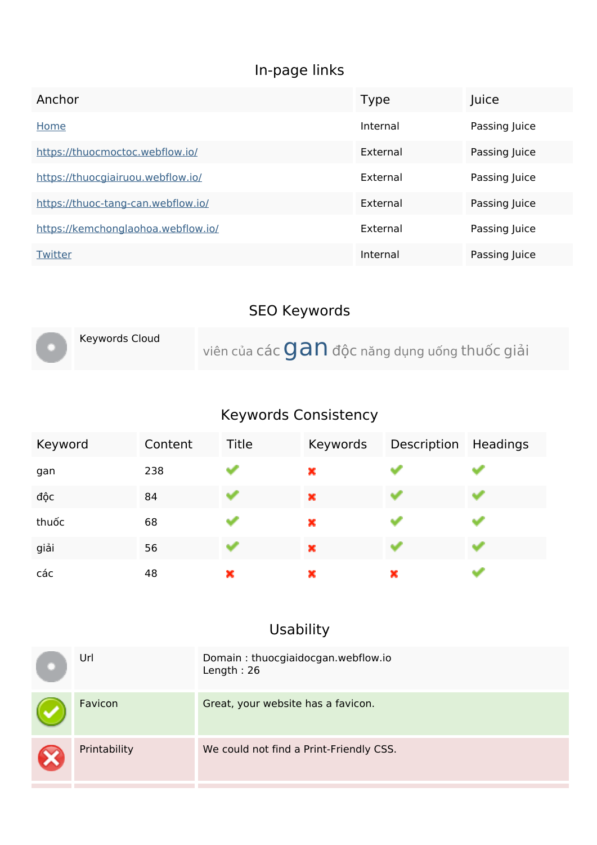# **In-page links**

| Anchor                             | <b>Type</b> | Juice         |
|------------------------------------|-------------|---------------|
| Home                               | Internal    | Passing Juice |
| https://thuocmoctoc.webflow.io/    | External    | Passing Juice |
| https://thuocgiairuou.webflow.io/  | External    | Passing Juice |
| https://thuoc-tang-can.webflow.io/ | External    | Passing Juice |
| https://kemchonglaohoa.webflow.io/ | External    | Passing Juice |
| Twitter                            | Internal    | Passing Juice |

# **SEO Keywords**

| Keywords Cloud | viên của các $\mathbf{Gan}$ độc năng dụng uống thuốc giải |
|----------------|-----------------------------------------------------------|
|                |                                                           |

# **Keywords Consistency**

| Keyword | Content | Title | Keywords | Description Headings |  |
|---------|---------|-------|----------|----------------------|--|
| gan     | 238     |       | ×        |                      |  |
| độc     | 84      |       | ×        |                      |  |
| thuốc   | 68      |       | ×        |                      |  |
| giải    | 56      |       | ×        |                      |  |
| các     | 48      | ×     | ×        | ×                    |  |

# **Usability**

| Url          | Domain: thuocgiaidocgan.webflow.io<br>Length: $26$ |
|--------------|----------------------------------------------------|
| Favicon      | Great, your website has a favicon.                 |
| Printability | We could not find a Print-Friendly CSS.            |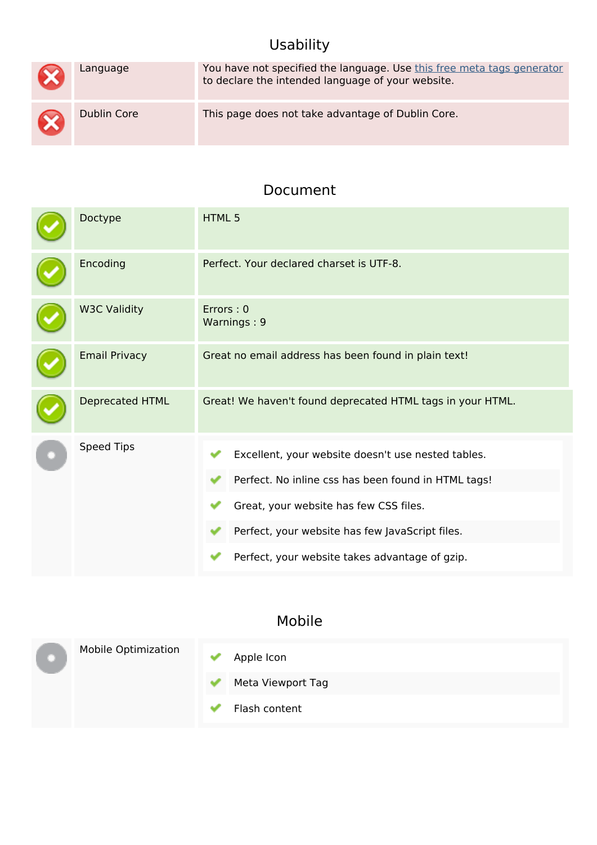# **Usability**

| $\bm{\mathsf{x}}$   | Language    | You have not specified the language. Use this free meta tags generator<br>to declare the intended language of your website. |
|---------------------|-------------|-----------------------------------------------------------------------------------------------------------------------------|
| $\boldsymbol{\chi}$ | Dublin Core | This page does not take advantage of Dublin Core.                                                                           |

#### **Document**

| Doctype              | <b>HTML5</b>                                                                                                                                                                                                                                             |
|----------------------|----------------------------------------------------------------------------------------------------------------------------------------------------------------------------------------------------------------------------------------------------------|
| Encoding             | Perfect. Your declared charset is UTF-8.                                                                                                                                                                                                                 |
| <b>W3C Validity</b>  | Errors: 0<br>Warnings: 9                                                                                                                                                                                                                                 |
| <b>Email Privacy</b> | Great no email address has been found in plain text!                                                                                                                                                                                                     |
| Deprecated HTML      | Great! We haven't found deprecated HTML tags in your HTML.                                                                                                                                                                                               |
| Speed Tips           | Excellent, your website doesn't use nested tables.<br>Perfect. No inline css has been found in HTML tags!<br>Great, your website has few CSS files.<br>Perfect, your website has few JavaScript files.<br>Perfect, your website takes advantage of gzip. |

### **Mobile**

|  | <b>Mobile Optimization</b> | Apple Icon        |
|--|----------------------------|-------------------|
|  |                            | Meta Viewport Tag |
|  |                            | Flash content     |